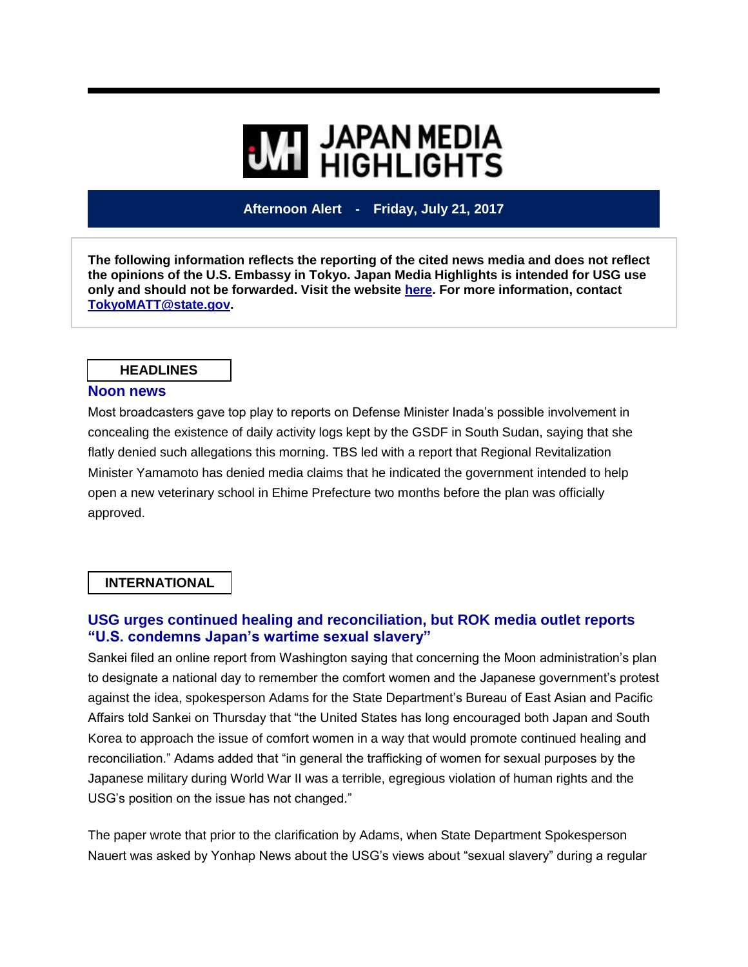# **WI HIGHLIGHTS**

# **Afternoon Alert - Friday, July 21, 2017**

**The following information reflects the reporting of the cited news media and does not reflect the opinions of the U.S. Embassy in Tokyo. Japan Media Highlights is intended for USG use only and should not be forwarded. Visit the website [here.](https://jmh.usembassy.gov/) For more information, contact [TokyoMATT@state.gov.](mailto:TokyoMATT@state.gov)**

#### **HEADLINES**

#### **Noon news**

Most broadcasters gave top play to reports on Defense Minister Inada's possible involvement in concealing the existence of daily activity logs kept by the GSDF in South Sudan, saying that she flatly denied such allegations this morning. TBS led with a report that Regional Revitalization Minister Yamamoto has denied media claims that he indicated the government intended to help open a new veterinary school in Ehime Prefecture two months before the plan was officially approved.

#### **INTERNATIONAL**

# **USG urges continued healing and reconciliation, but ROK media outlet reports "U.S. condemns Japan's wartime sexual slavery"**

Sankei filed an online report from Washington saying that concerning the Moon administration's plan to designate a national day to remember the comfort women and the Japanese government's protest against the idea, spokesperson Adams for the State Department's Bureau of East Asian and Pacific Affairs told Sankei on Thursday that "the United States has long encouraged both Japan and South Korea to approach the issue of comfort women in a way that would promote continued healing and reconciliation." Adams added that "in general the trafficking of women for sexual purposes by the Japanese military during World War II was a terrible, egregious violation of human rights and the USG's position on the issue has not changed."

The paper wrote that prior to the clarification by Adams, when State Department Spokesperson Nauert was asked by Yonhap News about the USG's views about "sexual slavery" during a regular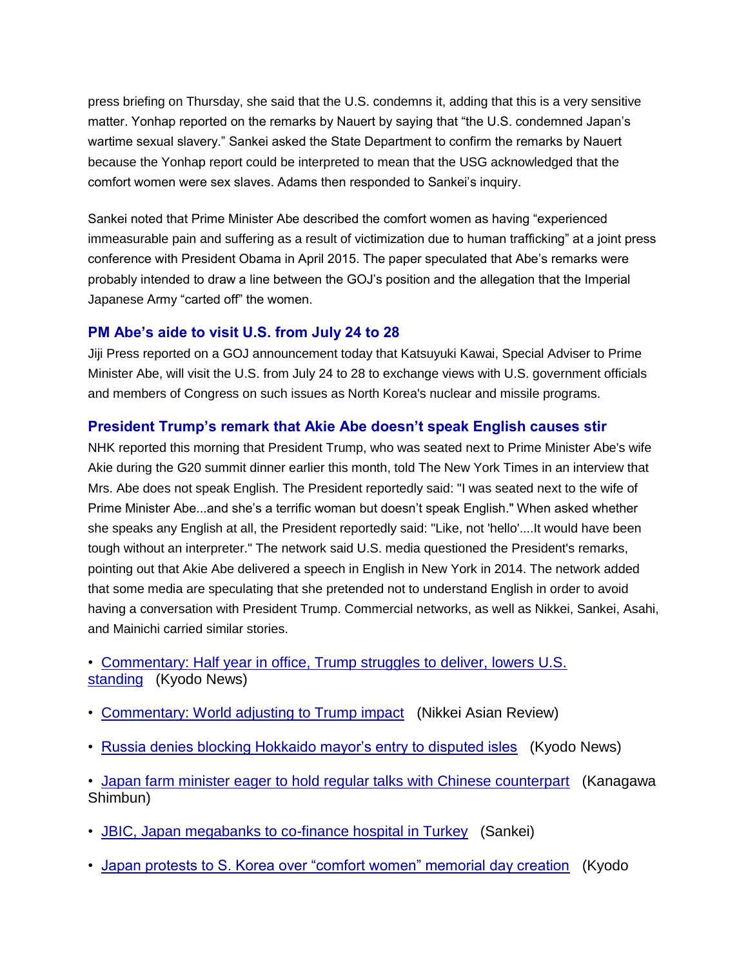press briefing on Thursday, she said that the U.S. condemns it, adding that this is a very sensitive matter. Yonhap reported on the remarks by Nauert by saying that "the U.S. condemned Japan's wartime sexual slavery." Sankei asked the State Department to confirm the remarks by Nauert because the Yonhap report could be interpreted to mean that the USG acknowledged that the comfort women were sex slaves. Adams then responded to Sankei's inquiry.

Sankei noted that Prime Minister Abe described the comfort women as having "experienced immeasurable pain and suffering as a result of victimization due to human trafficking" at a joint press conference with President Obama in April 2015. The paper speculated that Abe's remarks were probably intended to draw a line between the GOJ's position and the allegation that the Imperial Japanese Army "carted off" the women.

#### **PM Abe's aide to visit U.S. from July 24 to 28**

Jiji Press reported on a GOJ announcement today that Katsuyuki Kawai, Special Adviser to Prime Minister Abe, will visit the U.S. from July 24 to 28 to exchange views with U.S. government officials and members of Congress on such issues as North Korea's nuclear and missile programs.

#### **President Trump's remark that Akie Abe doesn't speak English causes stir**

NHK reported this morning that President Trump, who was seated next to Prime Minister Abe's wife Akie during the G20 summit dinner earlier this month, told The New York Times in an interview that Mrs. Abe does not speak English. The President reportedly said: "I was seated next to the wife of Prime Minister Abe...and she's a terrific woman but doesn't speak English." When asked whether she speaks any English at all, the President reportedly said: "Like, not 'hello'....It would have been tough without an interpreter." The network said U.S. media questioned the President's remarks, pointing out that Akie Abe delivered a speech in English in New York in 2014. The network added that some media are speculating that she pretended not to understand English in order to avoid having a conversation with President Trump. Commercial networks, as well as Nikkei, Sankei, Asahi, and Mainichi carried similar stories.

- [Commentary: Half year in office, Trump struggles to deliver, lowers U.S.](https://jmh.usembassy.gov/2017072187821/)  [standing](https://jmh.usembassy.gov/2017072187821/) (Kyodo News)
- [Commentary: World adjusting to Trump impact](https://jmh.usembassy.gov/2017072187858/) (Nikkei Asian Review)
- [Russia denies blocking Hokkaido mayor's entry to disputed isles](https://jmh.usembassy.gov/2017072187910/) (Kyodo News)

• [Japan farm minister eager to hold regular talks with Chinese counterpart](https://jmh.usembassy.gov/2017072187903/) (Kanagawa Shimbun)

- [JBIC, Japan megabanks to co-finance hospital in Turkey](https://jmh.usembassy.gov/2017072187889/) (Sankei)
- [Japan protests to S. Korea over "comfort women" memorial day creation](https://jmh.usembassy.gov/2017072187852/) (Kyodo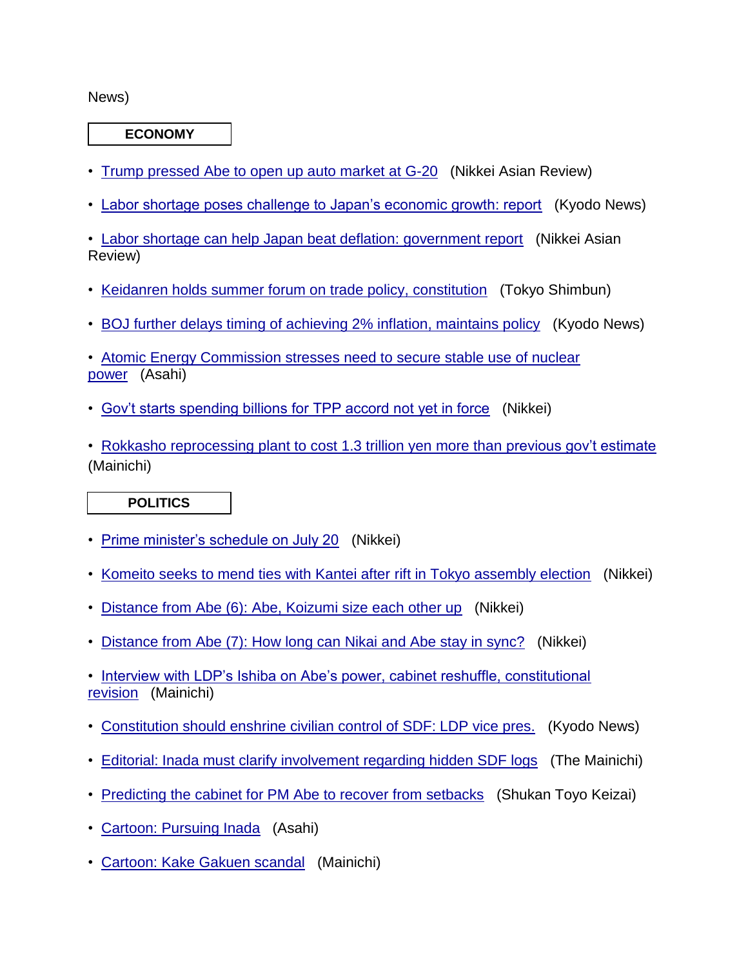#### News)

**ECONOMY**

- [Trump pressed Abe to open up auto market at G-20](https://jmh.usembassy.gov/2017072187847/) (Nikkei Asian Review)
- [Labor shortage poses challenge to Japan's economic growth: report](https://jmh.usembassy.gov/2017072187909/) (Kyodo News)

• [Labor shortage can help Japan beat deflation: government report](https://jmh.usembassy.gov/2017072187911/) (Nikkei Asian Review)

- [Keidanren holds summer forum on trade policy, constitution](https://jmh.usembassy.gov/2017072187900/) (Tokyo Shimbun)
- [BOJ further delays timing of achieving 2% inflation, maintains policy](https://jmh.usembassy.gov/2017072187845/) (Kyodo News)

• [Atomic Energy Commission stresses need to secure stable use of nuclear](https://jmh.usembassy.gov/2017072187893/)  [power](https://jmh.usembassy.gov/2017072187893/) (Asahi)

• [Gov't starts spending billions for TPP accord not yet in force](https://jmh.usembassy.gov/2017072187825/) (Nikkei)

• [Rokkasho reprocessing plant to cost 1.3 trillion yen more than previous gov't estimate](https://jmh.usembassy.gov/2017072187878/) (Mainichi)

# **POLITICS**

- [Prime minister's schedule on July 20](https://jmh.usembassy.gov/2017072187849/) (Nikkei)
- [Komeito seeks to mend ties with Kantei after](https://jmh.usembassy.gov/2017072187856/) rift in Tokyo assembly election (Nikkei)
- [Distance from Abe \(6\): Abe, Koizumi size each other up](https://jmh.usembassy.gov/2017072187819/) (Nikkei)
- Distance from Abe (7): How [long can Nikai and Abe stay in sync?](https://jmh.usembassy.gov/2017072187901/) (Nikkei)

• [Interview with LDP's Ishiba on Abe's power, cabinet reshuffle, constitutional](https://jmh.usembassy.gov/2017072187877/)  [revision](https://jmh.usembassy.gov/2017072187877/) (Mainichi)

- [Constitution should enshrine civilian control of SDF: LDP vice pres.](https://jmh.usembassy.gov/2017072187820/) (Kyodo News)
- [Editorial: Inada must clarify involvement regarding hidden SDF logs](https://jmh.usembassy.gov/2017072187837/) (The Mainichi)
- [Predicting the cabinet for PM Abe to recover from setbacks](https://jmh.usembassy.gov/2017072187894/) (Shukan Toyo Keizai)
- [Cartoon: Pursuing Inada](https://jmh.usembassy.gov/2017072187866/) (Asahi)
- [Cartoon: Kake Gakuen scandal](https://jmh.usembassy.gov/2017072187864/) (Mainichi)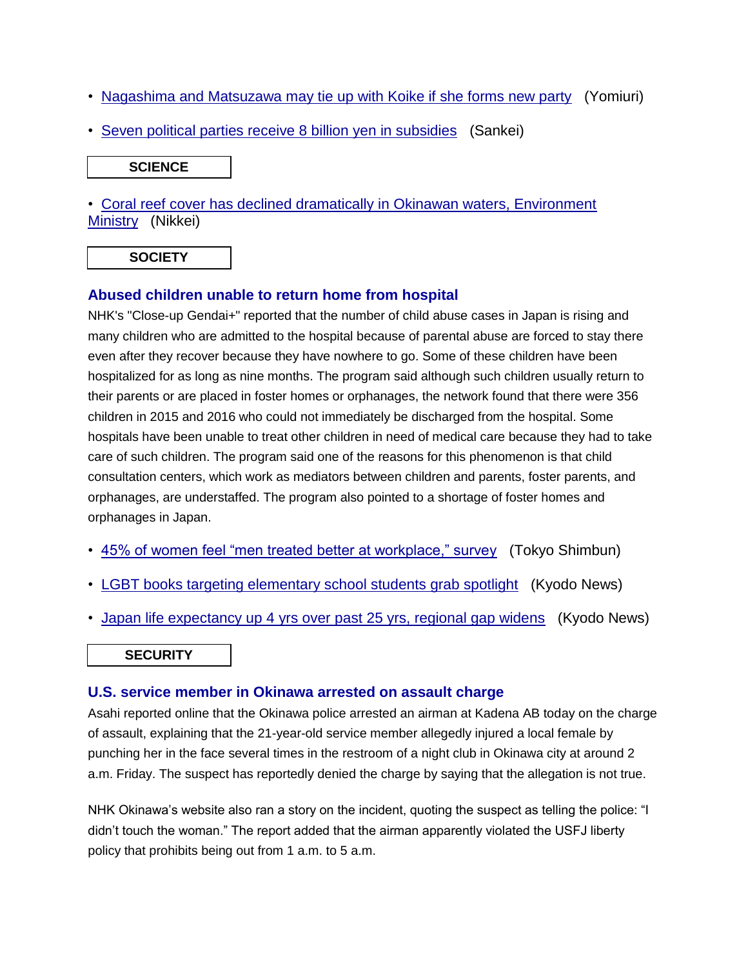- [Nagashima and Matsuzawa may tie up with Koike if she forms new party](https://jmh.usembassy.gov/2017072187846/) (Yomiuri)
- [Seven political parties receive 8 billion yen in subsidies](https://jmh.usembassy.gov/2017072187848/) (Sankei)

**SCIENCE**

• [Coral reef cover has declined dramatically in Okinawan waters, Environment](https://jmh.usembassy.gov/2017072187861/)  [Ministry](https://jmh.usembassy.gov/2017072187861/) (Nikkei)

# **SOCIETY**

# **Abused children unable to return home from hospital**

NHK's "Close-up Gendai+" reported that the number of child abuse cases in Japan is rising and many children who are admitted to the hospital because of parental abuse are forced to stay there even after they recover because they have nowhere to go. Some of these children have been hospitalized for as long as nine months. The program said although such children usually return to their parents or are placed in foster homes or orphanages, the network found that there were 356 children in 2015 and 2016 who could not immediately be discharged from the hospital. Some hospitals have been unable to treat other children in need of medical care because they had to take care of such children. The program said one of the reasons for this phenomenon is that child consultation centers, which work as mediators between children and parents, foster parents, and orphanages, are understaffed. The program also pointed to a shortage of foster homes and orphanages in Japan.

- [45% of women feel "men treated better at workplace," survey](https://jmh.usembassy.gov/2017072187880/) (Tokyo Shimbun)
- [LGBT books targeting elementary school students grab spotlight](https://jmh.usembassy.gov/2017072187842/) (Kyodo News)
- [Japan life expectancy up 4 yrs over past 25 yrs, regional gap widens](https://jmh.usembassy.gov/2017072187843/) (Kyodo News)

# **SECURITY**

# **U.S. service member in Okinawa arrested on assault charge**

Asahi reported online that the Okinawa police arrested an airman at Kadena AB today on the charge of assault, explaining that the 21-year-old service member allegedly injured a local female by punching her in the face several times in the restroom of a night club in Okinawa city at around 2 a.m. Friday. The suspect has reportedly denied the charge by saying that the allegation is not true.

NHK Okinawa's website also ran a story on the incident, quoting the suspect as telling the police: "I didn't touch the woman." The report added that the airman apparently violated the USFJ liberty policy that prohibits being out from 1 a.m. to 5 a.m.